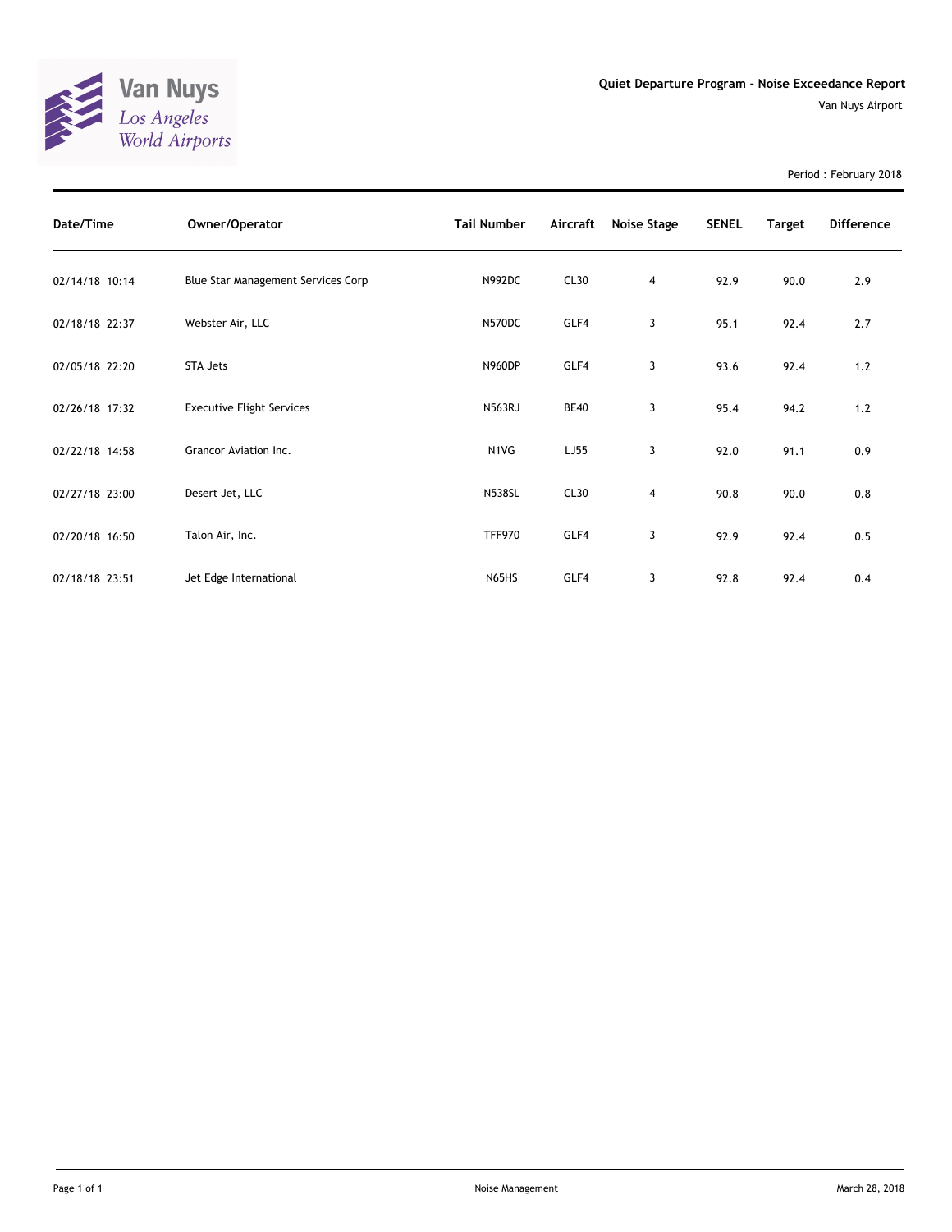

Period : February 2018

| Date/Time      | Owner/Operator                     | <b>Tail Number</b> | Aircraft    | Noise Stage | <b>SENEL</b> | <b>Target</b> | <b>Difference</b> |
|----------------|------------------------------------|--------------------|-------------|-------------|--------------|---------------|-------------------|
| 02/14/18 10:14 | Blue Star Management Services Corp | N992DC             | CL30        | 4           | 92.9         | 90.0          | 2.9               |
| 02/18/18 22:37 | Webster Air, LLC                   | N570DC             | GLF4        | 3           | 95.1         | 92.4          | 2.7               |
| 02/05/18 22:20 | STA Jets                           | <b>N960DP</b>      | GLF4        | 3           | 93.6         | 92.4          | 1.2               |
| 02/26/18 17:32 | <b>Executive Flight Services</b>   | <b>N563RJ</b>      | <b>BE40</b> | 3           | 95.4         | 94.2          | 1.2               |
| 02/22/18 14:58 | Grancor Aviation Inc.              | N1VG               | LJ55        | 3           | 92.0         | 91.1          | 0.9               |
| 02/27/18 23:00 | Desert Jet, LLC                    | <b>N538SL</b>      | CL30        | 4           | 90.8         | 90.0          | 0.8               |
| 02/20/18 16:50 | Talon Air, Inc.                    | <b>TFF970</b>      | GLF4        | 3           | 92.9         | 92.4          | 0.5               |
| 02/18/18 23:51 | Jet Edge International             | N65HS              | GLF4        | 3           | 92.8         | 92.4          | 0.4               |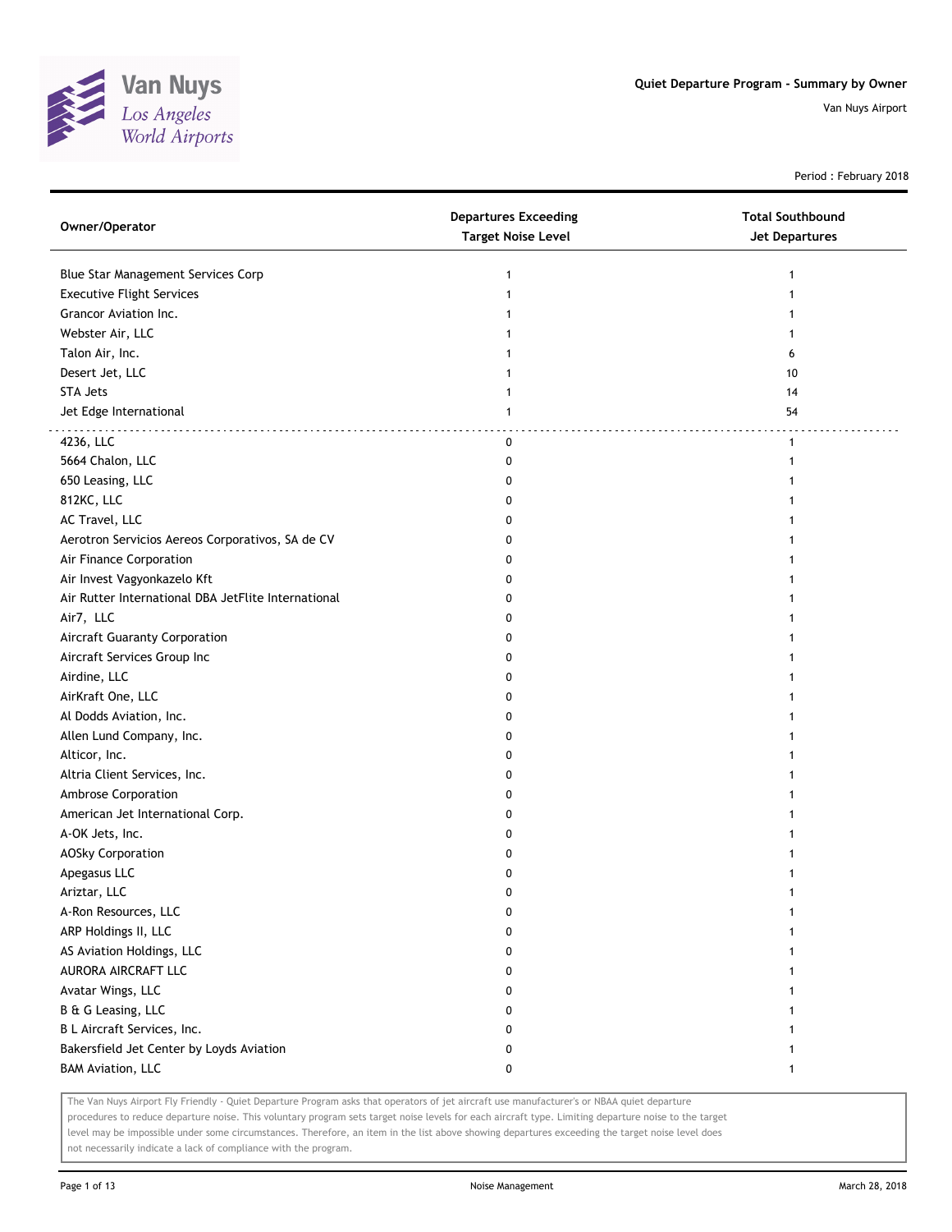

Period : February 2018

| Owner/Operator                                      | <b>Departures Exceeding</b><br><b>Target Noise Level</b> | <b>Total Southbound</b><br><b>Jet Departures</b> |
|-----------------------------------------------------|----------------------------------------------------------|--------------------------------------------------|
| Blue Star Management Services Corp                  | 1                                                        | $\mathbf{1}$                                     |
| <b>Executive Flight Services</b>                    | $\mathbf{1}$                                             |                                                  |
| Grancor Aviation Inc.                               |                                                          |                                                  |
| Webster Air, LLC                                    |                                                          |                                                  |
| Talon Air, Inc.                                     |                                                          | 6                                                |
| Desert Jet, LLC                                     |                                                          | 10                                               |
| STA Jets                                            | 1                                                        | 14                                               |
| Jet Edge International                              | 1                                                        | 54                                               |
| 4236, LLC                                           | 0                                                        | $\mathbf{1}$                                     |
| 5664 Chalon, LLC                                    | 0                                                        | 1                                                |
| 650 Leasing, LLC                                    | 0                                                        |                                                  |
| 812KC, LLC                                          | 0                                                        |                                                  |
| AC Travel, LLC                                      | 0                                                        |                                                  |
| Aerotron Servicios Aereos Corporativos, SA de CV    | 0                                                        |                                                  |
| Air Finance Corporation                             | 0                                                        |                                                  |
| Air Invest Vagyonkazelo Kft                         | 0                                                        |                                                  |
| Air Rutter International DBA JetFlite International | 0                                                        |                                                  |
| Air7, LLC                                           | 0                                                        | 1                                                |
| Aircraft Guaranty Corporation                       | 0                                                        |                                                  |
| Aircraft Services Group Inc                         | 0                                                        |                                                  |
| Airdine, LLC                                        | 0                                                        |                                                  |
| AirKraft One, LLC                                   | 0                                                        |                                                  |
| Al Dodds Aviation, Inc.                             | 0                                                        |                                                  |
| Allen Lund Company, Inc.                            | 0                                                        |                                                  |
| Alticor, Inc.                                       | 0                                                        |                                                  |
| Altria Client Services, Inc.                        | 0                                                        |                                                  |
| Ambrose Corporation                                 | 0                                                        |                                                  |
| American Jet International Corp.                    | 0                                                        |                                                  |
| A-OK Jets, Inc.                                     | 0                                                        |                                                  |
| <b>AOSky Corporation</b>                            | 0                                                        |                                                  |
| Apegasus LLC                                        | 0                                                        |                                                  |
| Ariztar, LLC                                        | 0                                                        |                                                  |
| A-Ron Resources, LLC                                | 0                                                        | 1                                                |
| ARP Holdings II, LLC                                | 0                                                        | 1                                                |
| AS Aviation Holdings, LLC                           | 0                                                        |                                                  |
| AURORA AIRCRAFT LLC                                 | 0                                                        | 1                                                |
| Avatar Wings, LLC                                   | 0                                                        | 1                                                |
| B & G Leasing, LLC                                  | 0                                                        | 1                                                |
| B L Aircraft Services, Inc.                         | 0                                                        | 1                                                |
| Bakersfield Jet Center by Loyds Aviation            | 0                                                        | 1                                                |
| <b>BAM Aviation, LLC</b>                            | 0                                                        | $\mathbf{1}$                                     |

The Van Nuys Airport Fly Friendly - Quiet Departure Program asks that operators of jet aircraft use manufacturer's or NBAA quiet departure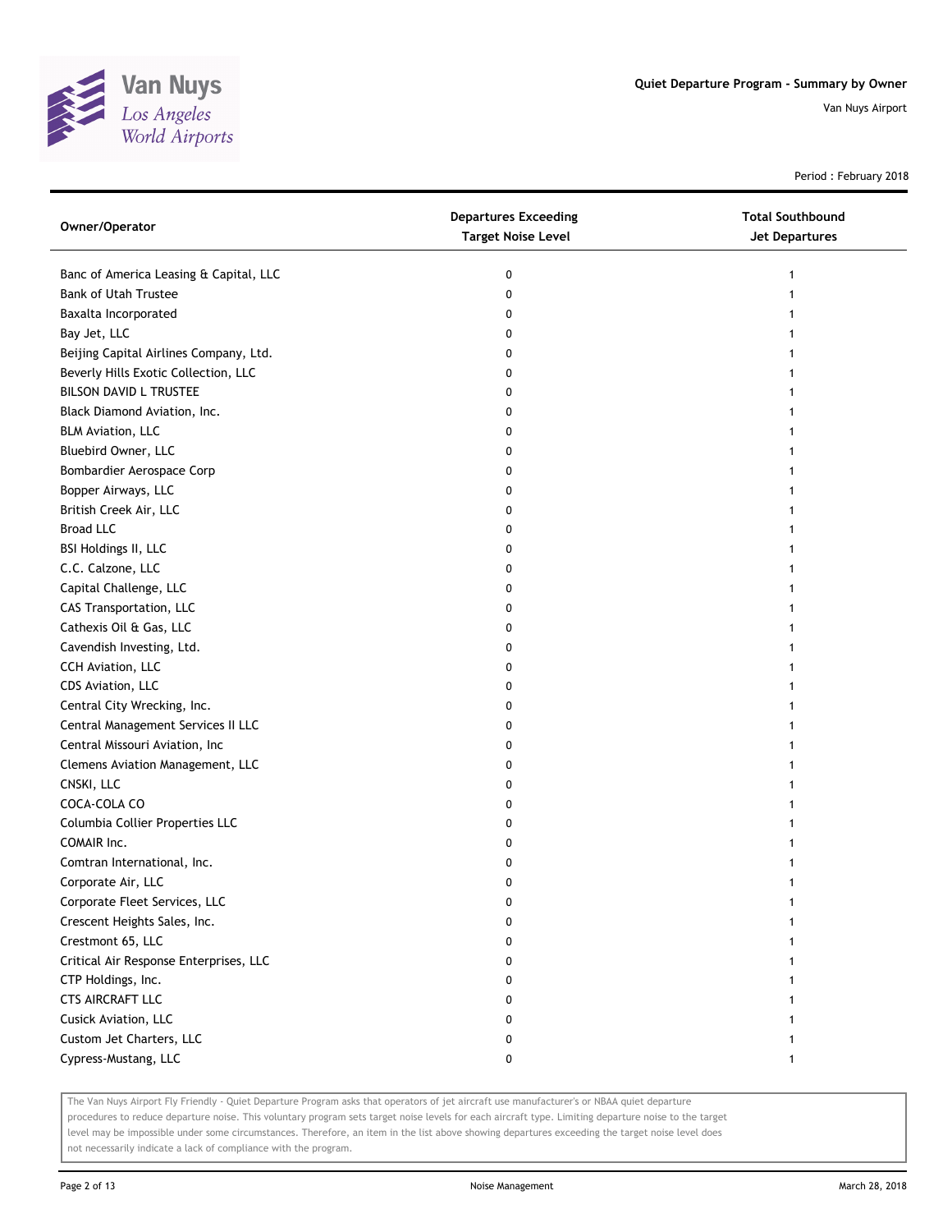

Period : February 2018

| Owner/Operator                         | <b>Departures Exceeding</b><br><b>Target Noise Level</b> | <b>Total Southbound</b><br>Jet Departures |
|----------------------------------------|----------------------------------------------------------|-------------------------------------------|
| Banc of America Leasing & Capital, LLC | 0                                                        |                                           |
| <b>Bank of Utah Trustee</b>            | 0                                                        |                                           |
| Baxalta Incorporated                   | 0                                                        |                                           |
| Bay Jet, LLC                           | 0                                                        |                                           |
| Beijing Capital Airlines Company, Ltd. | 0                                                        |                                           |
| Beverly Hills Exotic Collection, LLC   | 0                                                        |                                           |
| BILSON DAVID L TRUSTEE                 | 0                                                        |                                           |
| Black Diamond Aviation, Inc.           | 0                                                        |                                           |
| <b>BLM Aviation, LLC</b>               | 0                                                        |                                           |
| Bluebird Owner, LLC                    | 0                                                        |                                           |
| Bombardier Aerospace Corp              | 0                                                        |                                           |
| Bopper Airways, LLC                    | 0                                                        |                                           |
| British Creek Air, LLC                 | 0                                                        |                                           |
| <b>Broad LLC</b>                       | 0                                                        |                                           |
| BSI Holdings II, LLC                   | 0                                                        |                                           |
| C.C. Calzone, LLC                      | 0                                                        |                                           |
| Capital Challenge, LLC                 | 0                                                        |                                           |
| CAS Transportation, LLC                | 0                                                        |                                           |
| Cathexis Oil & Gas, LLC                | 0                                                        |                                           |
| Cavendish Investing, Ltd.              | 0                                                        |                                           |
| CCH Aviation, LLC                      | 0                                                        |                                           |
| CDS Aviation, LLC                      | 0                                                        |                                           |
| Central City Wrecking, Inc.            | 0                                                        |                                           |
| Central Management Services II LLC     | 0                                                        |                                           |
| Central Missouri Aviation, Inc         | 0                                                        |                                           |
| Clemens Aviation Management, LLC       | 0                                                        |                                           |
| CNSKI, LLC                             | 0                                                        |                                           |
| COCA-COLA CO                           | 0                                                        |                                           |
| Columbia Collier Properties LLC        | 0                                                        |                                           |
| COMAIR Inc.                            | 0                                                        |                                           |
| Comtran International, Inc.            | 0                                                        |                                           |
| Corporate Air, LLC                     | 0                                                        |                                           |
| Corporate Fleet Services, LLC          | 0                                                        |                                           |
| Crescent Heights Sales, Inc.           | 0                                                        |                                           |
| Crestmont 65, LLC                      | 0                                                        |                                           |
| Critical Air Response Enterprises, LLC | 0                                                        |                                           |
| CTP Holdings, Inc.                     | 0                                                        |                                           |
| CTS AIRCRAFT LLC                       | 0                                                        |                                           |
| Cusick Aviation, LLC                   | 0                                                        |                                           |
| Custom Jet Charters, LLC               | 0                                                        |                                           |
| Cypress-Mustang, LLC                   | 0                                                        | 1                                         |

The Van Nuys Airport Fly Friendly - Quiet Departure Program asks that operators of jet aircraft use manufacturer's or NBAA quiet departure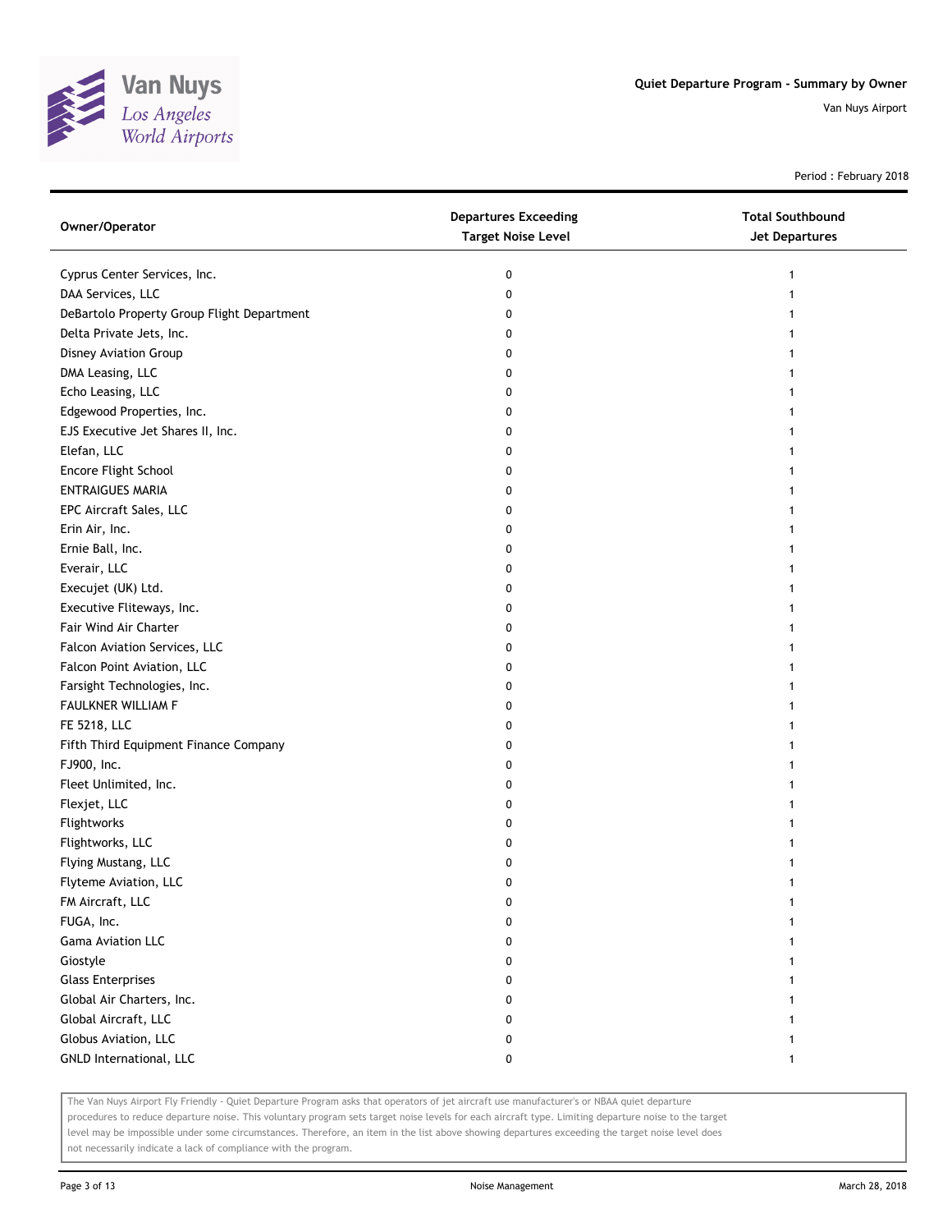

Period : February 2018

| Owner/Operator                             | <b>Departures Exceeding</b><br><b>Target Noise Level</b> | <b>Total Southbound</b><br>Jet Departures |
|--------------------------------------------|----------------------------------------------------------|-------------------------------------------|
| Cyprus Center Services, Inc.               | 0                                                        |                                           |
| DAA Services, LLC                          | 0                                                        |                                           |
| DeBartolo Property Group Flight Department | 0                                                        |                                           |
| Delta Private Jets, Inc.                   | 0                                                        |                                           |
| Disney Aviation Group                      | 0                                                        |                                           |
| DMA Leasing, LLC                           | 0                                                        |                                           |
| Echo Leasing, LLC                          | 0                                                        |                                           |
| Edgewood Properties, Inc.                  | 0                                                        |                                           |
| EJS Executive Jet Shares II, Inc.          | 0                                                        |                                           |
| Elefan, LLC                                | 0                                                        |                                           |
| Encore Flight School                       | 0                                                        |                                           |
| <b>ENTRAIGUES MARIA</b>                    | 0                                                        |                                           |
| EPC Aircraft Sales, LLC                    | 0                                                        |                                           |
| Erin Air, Inc.                             | 0                                                        |                                           |
| Ernie Ball, Inc.                           | 0                                                        |                                           |
| Everair, LLC                               | 0                                                        |                                           |
| Execujet (UK) Ltd.                         | 0                                                        |                                           |
| Executive Fliteways, Inc.                  | 0                                                        |                                           |
| Fair Wind Air Charter                      | 0                                                        |                                           |
| Falcon Aviation Services, LLC              | 0                                                        |                                           |
| Falcon Point Aviation, LLC                 | 0                                                        |                                           |
| Farsight Technologies, Inc.                | 0                                                        |                                           |
| FAULKNER WILLIAM F                         | 0                                                        |                                           |
| FE 5218, LLC                               | 0                                                        |                                           |
| Fifth Third Equipment Finance Company      | 0                                                        |                                           |
| FJ900, Inc.                                | 0                                                        |                                           |
| Fleet Unlimited, Inc.                      | 0                                                        |                                           |
| Flexjet, LLC                               | 0                                                        |                                           |
| Flightworks                                | 0                                                        |                                           |
| Flightworks, LLC                           | 0                                                        |                                           |
| Flying Mustang, LLC                        | 0                                                        |                                           |
| Flyteme Aviation, LLC                      | 0                                                        |                                           |
| FM Aircraft, LLC                           | 0                                                        |                                           |
| FUGA, Inc.                                 | 0                                                        |                                           |
| Gama Aviation LLC                          | 0                                                        |                                           |
| Giostyle                                   | 0                                                        |                                           |
| <b>Glass Enterprises</b>                   | 0                                                        |                                           |
| Global Air Charters, Inc.                  | 0                                                        |                                           |
| Global Aircraft, LLC                       | 0                                                        |                                           |
| Globus Aviation, LLC                       | 0                                                        |                                           |
| GNLD International, LLC                    | 0                                                        | $\mathbf{1}$                              |
|                                            |                                                          |                                           |

The Van Nuys Airport Fly Friendly - Quiet Departure Program asks that operators of jet aircraft use manufacturer's or NBAA quiet departure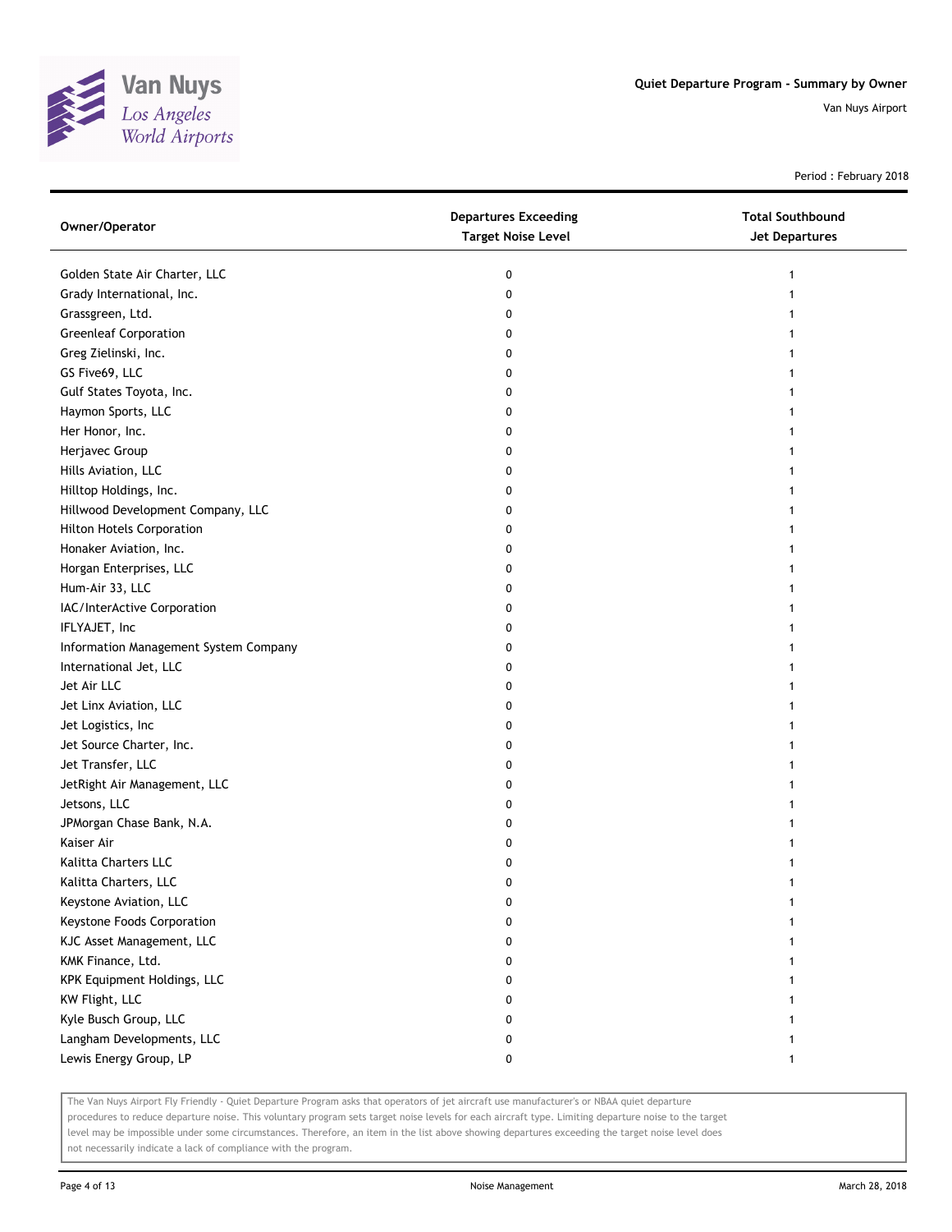

Period : February 2018

| Owner/Operator                        | <b>Departures Exceeding</b><br><b>Target Noise Level</b> | <b>Total Southbound</b><br><b>Jet Departures</b> |
|---------------------------------------|----------------------------------------------------------|--------------------------------------------------|
| Golden State Air Charter, LLC         | 0                                                        | 1                                                |
| Grady International, Inc.             | 0                                                        |                                                  |
| Grassgreen, Ltd.                      | 0                                                        |                                                  |
| <b>Greenleaf Corporation</b>          | 0                                                        |                                                  |
| Greg Zielinski, Inc.                  | 0                                                        |                                                  |
| GS Five69, LLC                        | 0                                                        |                                                  |
| Gulf States Toyota, Inc.              | 0                                                        | 1                                                |
| Haymon Sports, LLC                    | 0                                                        | 1                                                |
| Her Honor, Inc.                       | 0                                                        |                                                  |
| Herjavec Group                        | 0                                                        |                                                  |
| Hills Aviation, LLC                   | 0                                                        |                                                  |
| Hilltop Holdings, Inc.                | 0                                                        |                                                  |
| Hillwood Development Company, LLC     | 0                                                        |                                                  |
| <b>Hilton Hotels Corporation</b>      | 0                                                        |                                                  |
| Honaker Aviation, Inc.                | 0                                                        |                                                  |
| Horgan Enterprises, LLC               | 0                                                        | 1                                                |
| Hum-Air 33, LLC                       | 0                                                        | 1                                                |
| IAC/InterActive Corporation           | 0                                                        | 1                                                |
| IFLYAJET, Inc                         | 0                                                        |                                                  |
| Information Management System Company | 0                                                        |                                                  |
| International Jet, LLC                | 0                                                        |                                                  |
| Jet Air LLC                           | 0                                                        |                                                  |
| Jet Linx Aviation, LLC                | 0                                                        | 1                                                |
| Jet Logistics, Inc                    | 0                                                        |                                                  |
| Jet Source Charter, Inc.              | 0                                                        | 1                                                |
| Jet Transfer, LLC                     | 0                                                        | 1                                                |
| JetRight Air Management, LLC          | 0                                                        | 1                                                |
| Jetsons, LLC                          | 0                                                        | 1                                                |
| JPMorgan Chase Bank, N.A.             | 0                                                        |                                                  |
| Kaiser Air                            | 0                                                        |                                                  |
| Kalitta Charters LLC                  | 0                                                        |                                                  |
| Kalitta Charters, LLC                 | 0                                                        | 1                                                |
| Keystone Aviation, LLC                | 0                                                        |                                                  |
| Keystone Foods Corporation            | 0                                                        |                                                  |
| KJC Asset Management, LLC             | 0                                                        |                                                  |
| KMK Finance, Ltd.                     | 0                                                        |                                                  |
| KPK Equipment Holdings, LLC           | 0                                                        |                                                  |
| KW Flight, LLC                        | 0                                                        |                                                  |
| Kyle Busch Group, LLC                 | 0                                                        |                                                  |
| Langham Developments, LLC             | 0                                                        |                                                  |
| Lewis Energy Group, LP                | 0                                                        | 1                                                |

The Van Nuys Airport Fly Friendly - Quiet Departure Program asks that operators of jet aircraft use manufacturer's or NBAA quiet departure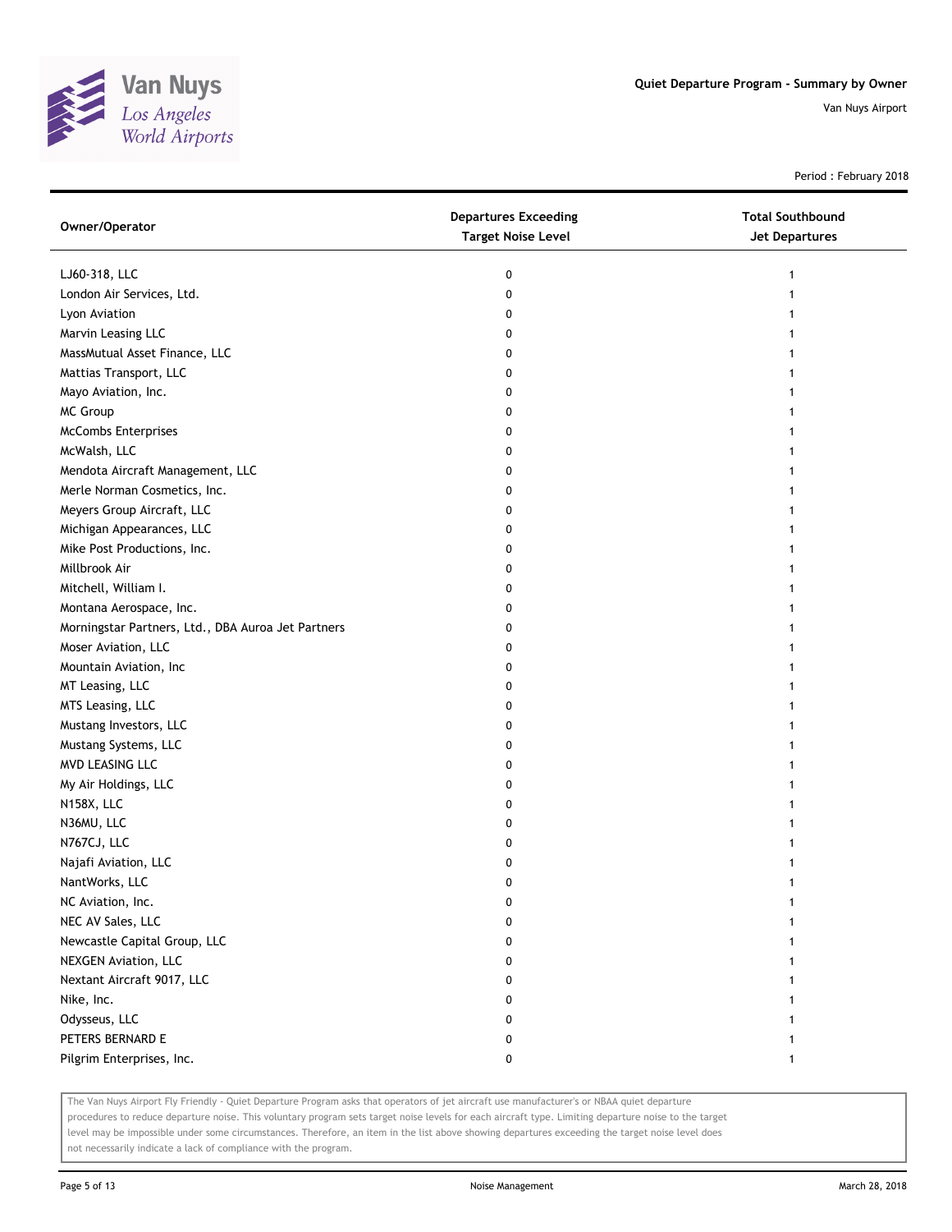

Period : February 2018

| Owner/Operator                                     | <b>Departures Exceeding</b><br><b>Target Noise Level</b> | <b>Total Southbound</b><br><b>Jet Departures</b> |
|----------------------------------------------------|----------------------------------------------------------|--------------------------------------------------|
| LJ60-318, LLC                                      | 0                                                        | 1                                                |
| London Air Services, Ltd.                          | 0                                                        |                                                  |
| Lyon Aviation                                      | 0                                                        |                                                  |
| Marvin Leasing LLC                                 | 0                                                        |                                                  |
| MassMutual Asset Finance, LLC                      | 0                                                        |                                                  |
| Mattias Transport, LLC                             | 0                                                        |                                                  |
| Mayo Aviation, Inc.                                | 0                                                        |                                                  |
| MC Group                                           | 0                                                        |                                                  |
| <b>McCombs Enterprises</b>                         | 0                                                        | 1                                                |
| McWalsh, LLC                                       | 0                                                        |                                                  |
| Mendota Aircraft Management, LLC                   | 0                                                        |                                                  |
| Merle Norman Cosmetics, Inc.                       | 0                                                        |                                                  |
| Meyers Group Aircraft, LLC                         | 0                                                        |                                                  |
| Michigan Appearances, LLC                          | 0                                                        |                                                  |
| Mike Post Productions, Inc.                        | 0                                                        |                                                  |
| Millbrook Air                                      | 0                                                        |                                                  |
| Mitchell, William I.                               | 0                                                        |                                                  |
| Montana Aerospace, Inc.                            | 0                                                        |                                                  |
| Morningstar Partners, Ltd., DBA Auroa Jet Partners | 0                                                        |                                                  |
| Moser Aviation, LLC                                | 0                                                        |                                                  |
| Mountain Aviation, Inc                             | 0                                                        |                                                  |
| MT Leasing, LLC                                    | 0                                                        |                                                  |
| MTS Leasing, LLC                                   | 0                                                        |                                                  |
| Mustang Investors, LLC                             | 0                                                        |                                                  |
| Mustang Systems, LLC                               | 0                                                        |                                                  |
| MVD LEASING LLC                                    | 0                                                        |                                                  |
| My Air Holdings, LLC                               | 0                                                        |                                                  |
| N158X, LLC                                         | 0                                                        |                                                  |
| N36MU, LLC                                         | 0                                                        |                                                  |
| N767CJ, LLC                                        | 0                                                        |                                                  |
| Najafi Aviation, LLC                               | 0                                                        |                                                  |
| NantWorks, LLC                                     | 0                                                        |                                                  |
| NC Aviation, Inc.                                  |                                                          |                                                  |
| NEC AV Sales, LLC                                  | 0                                                        |                                                  |
| Newcastle Capital Group, LLC                       | 0                                                        |                                                  |
| <b>NEXGEN Aviation, LLC</b>                        | 0                                                        |                                                  |
| Nextant Aircraft 9017, LLC                         | 0                                                        |                                                  |
| Nike, Inc.                                         | 0                                                        |                                                  |
| Odysseus, LLC                                      | 0                                                        |                                                  |
| PETERS BERNARD E                                   | 0                                                        |                                                  |
| Pilgrim Enterprises, Inc.                          | 0                                                        | 1                                                |

The Van Nuys Airport Fly Friendly - Quiet Departure Program asks that operators of jet aircraft use manufacturer's or NBAA quiet departure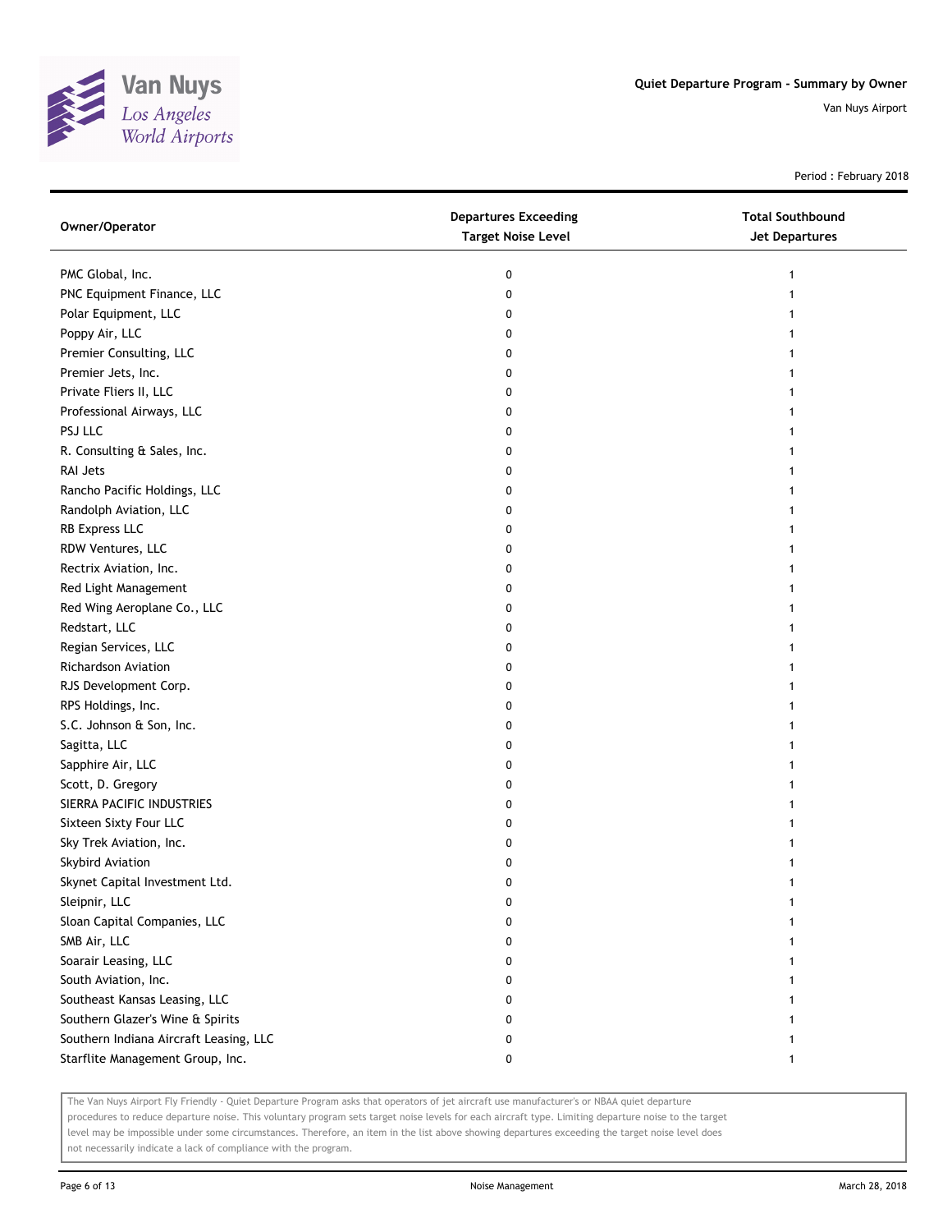

Period : February 2018

| Owner/Operator                         | <b>Departures Exceeding</b><br><b>Target Noise Level</b> | <b>Total Southbound</b><br><b>Jet Departures</b> |
|----------------------------------------|----------------------------------------------------------|--------------------------------------------------|
| PMC Global, Inc.                       | 0                                                        |                                                  |
| PNC Equipment Finance, LLC             | 0                                                        |                                                  |
| Polar Equipment, LLC                   | 0                                                        |                                                  |
| Poppy Air, LLC                         | 0                                                        |                                                  |
| Premier Consulting, LLC                | 0                                                        |                                                  |
| Premier Jets, Inc.                     | 0                                                        |                                                  |
| Private Fliers II, LLC                 | 0                                                        | 1                                                |
| Professional Airways, LLC              | 0                                                        | 1                                                |
| PSJ LLC                                | 0                                                        |                                                  |
| R. Consulting & Sales, Inc.            | 0                                                        |                                                  |
| RAI Jets                               | 0                                                        |                                                  |
| Rancho Pacific Holdings, LLC           | 0                                                        |                                                  |
| Randolph Aviation, LLC                 | 0                                                        |                                                  |
| RB Express LLC                         | 0                                                        |                                                  |
| RDW Ventures, LLC                      | 0                                                        |                                                  |
| Rectrix Aviation, Inc.                 | 0                                                        |                                                  |
| Red Light Management                   | 0                                                        |                                                  |
| Red Wing Aeroplane Co., LLC            | 0                                                        |                                                  |
| Redstart, LLC                          | 0                                                        |                                                  |
| Regian Services, LLC                   | 0                                                        |                                                  |
| Richardson Aviation                    | 0                                                        |                                                  |
| RJS Development Corp.                  | 0                                                        |                                                  |
| RPS Holdings, Inc.                     | 0                                                        |                                                  |
| S.C. Johnson & Son, Inc.               | 0                                                        |                                                  |
| Sagitta, LLC                           | 0                                                        |                                                  |
| Sapphire Air, LLC                      | 0                                                        |                                                  |
| Scott, D. Gregory                      | 0                                                        |                                                  |
| SIERRA PACIFIC INDUSTRIES              | 0                                                        |                                                  |
| Sixteen Sixty Four LLC                 | 0                                                        |                                                  |
| Sky Trek Aviation, Inc.                | 0                                                        |                                                  |
| Skybird Aviation                       | 0                                                        |                                                  |
| Skynet Capital Investment Ltd.         | 0                                                        |                                                  |
| Sleipnir, LLC                          | 0                                                        |                                                  |
| Sloan Capital Companies, LLC           | 0                                                        |                                                  |
| SMB Air, LLC                           | 0                                                        |                                                  |
| Soarair Leasing, LLC                   | 0                                                        |                                                  |
| South Aviation, Inc.                   | 0                                                        |                                                  |
| Southeast Kansas Leasing, LLC          | 0                                                        |                                                  |
| Southern Glazer's Wine & Spirits       | 0                                                        |                                                  |
| Southern Indiana Aircraft Leasing, LLC | 0                                                        |                                                  |
| Starflite Management Group, Inc.       | 0                                                        | 1                                                |

The Van Nuys Airport Fly Friendly - Quiet Departure Program asks that operators of jet aircraft use manufacturer's or NBAA quiet departure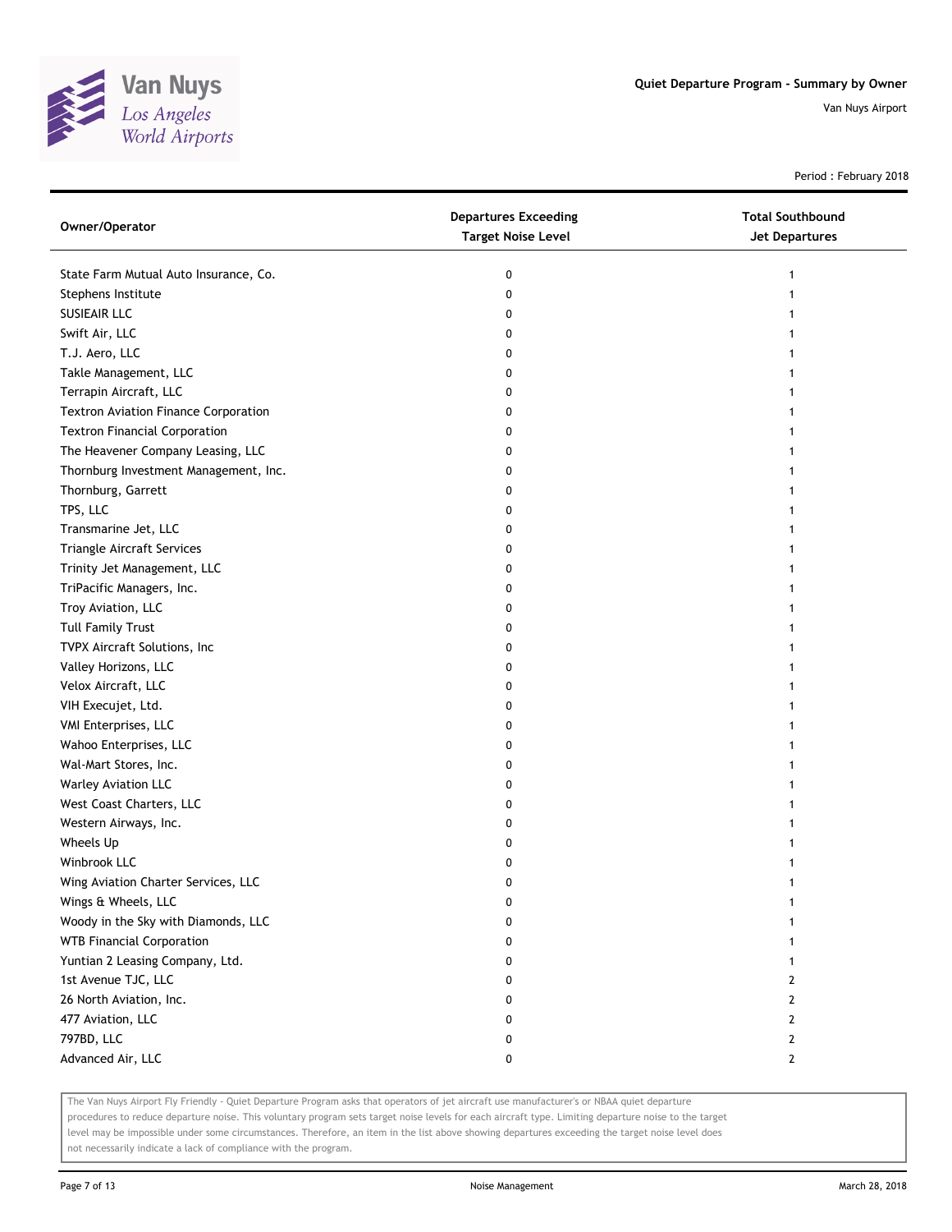

Period : February 2018

| Owner/Operator                              | <b>Departures Exceeding</b><br><b>Target Noise Level</b> | <b>Total Southbound</b><br>Jet Departures |
|---------------------------------------------|----------------------------------------------------------|-------------------------------------------|
| State Farm Mutual Auto Insurance, Co.       | 0                                                        |                                           |
| Stephens Institute                          | 0                                                        |                                           |
| <b>SUSIEAIR LLC</b>                         | 0                                                        |                                           |
| Swift Air, LLC                              | 0                                                        |                                           |
| T.J. Aero, LLC                              | 0                                                        |                                           |
| Takle Management, LLC                       | 0                                                        |                                           |
| Terrapin Aircraft, LLC                      | 0                                                        |                                           |
| <b>Textron Aviation Finance Corporation</b> | 0                                                        |                                           |
| <b>Textron Financial Corporation</b>        | 0                                                        |                                           |
| The Heavener Company Leasing, LLC           | 0                                                        |                                           |
| Thornburg Investment Management, Inc.       | 0                                                        |                                           |
| Thornburg, Garrett                          | 0                                                        |                                           |
| TPS, LLC                                    | 0                                                        |                                           |
| Transmarine Jet, LLC                        | 0                                                        |                                           |
| Triangle Aircraft Services                  | 0                                                        |                                           |
| Trinity Jet Management, LLC                 | 0                                                        |                                           |
| TriPacific Managers, Inc.                   | 0                                                        |                                           |
| Troy Aviation, LLC                          | 0                                                        |                                           |
| <b>Tull Family Trust</b>                    | 0                                                        |                                           |
| TVPX Aircraft Solutions, Inc                | 0                                                        |                                           |
| Valley Horizons, LLC                        | 0                                                        |                                           |
| Velox Aircraft, LLC                         | 0                                                        |                                           |
| VIH Execujet, Ltd.                          | 0                                                        |                                           |
| VMI Enterprises, LLC                        | 0                                                        |                                           |
| Wahoo Enterprises, LLC                      | 0                                                        |                                           |
| Wal-Mart Stores, Inc.                       | 0                                                        |                                           |
| Warley Aviation LLC                         | 0                                                        |                                           |
| West Coast Charters, LLC                    | 0                                                        |                                           |
| Western Airways, Inc.                       | 0                                                        |                                           |
| Wheels Up                                   | 0                                                        |                                           |
| Winbrook LLC                                | 0                                                        |                                           |
| Wing Aviation Charter Services, LLC         | 0                                                        |                                           |
| Wings & Wheels, LLC                         | U                                                        |                                           |
| Woody in the Sky with Diamonds, LLC         | 0                                                        |                                           |
| <b>WTB Financial Corporation</b>            | 0                                                        |                                           |
| Yuntian 2 Leasing Company, Ltd.             | 0                                                        |                                           |
| 1st Avenue TJC, LLC                         | 0                                                        | 2                                         |
| 26 North Aviation, Inc.                     | 0                                                        | 2                                         |
| 477 Aviation, LLC                           | 0                                                        | 2                                         |
| 797BD, LLC                                  | 0                                                        | $\mathbf{2}$                              |
| Advanced Air, LLC                           | 0                                                        | $\mathbf{2}$                              |

The Van Nuys Airport Fly Friendly - Quiet Departure Program asks that operators of jet aircraft use manufacturer's or NBAA quiet departure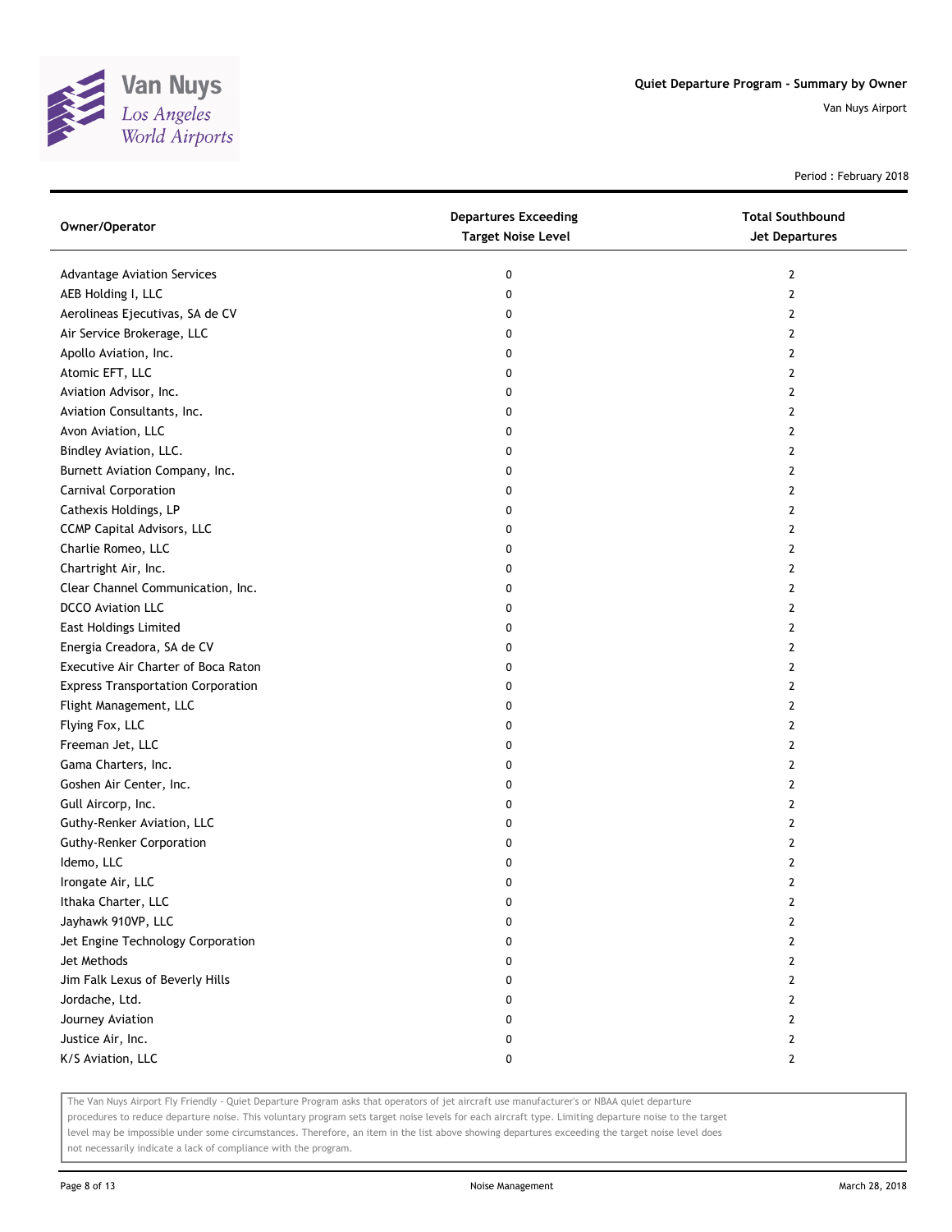

Period : February 2018

| Owner/Operator                            | <b>Departures Exceeding</b><br><b>Target Noise Level</b> | <b>Total Southbound</b><br><b>Jet Departures</b> |
|-------------------------------------------|----------------------------------------------------------|--------------------------------------------------|
| <b>Advantage Aviation Services</b>        | 0                                                        | $\mathbf{2}$                                     |
| AEB Holding I, LLC                        | 0                                                        | 2                                                |
| Aerolineas Ejecutivas, SA de CV           | 0                                                        | 2                                                |
| Air Service Brokerage, LLC                | 0                                                        | 2                                                |
| Apollo Aviation, Inc.                     | 0                                                        | 2                                                |
| Atomic EFT, LLC                           | 0                                                        | 2                                                |
| Aviation Advisor, Inc.                    | 0                                                        | 2                                                |
| Aviation Consultants, Inc.                | 0                                                        | 2                                                |
| Avon Aviation, LLC                        | 0                                                        | 2                                                |
| Bindley Aviation, LLC.                    | 0                                                        | 2                                                |
| Burnett Aviation Company, Inc.            | 0                                                        | 2                                                |
| Carnival Corporation                      | 0                                                        | 2                                                |
| Cathexis Holdings, LP                     | 0                                                        | 2                                                |
| CCMP Capital Advisors, LLC                | 0                                                        | 2                                                |
| Charlie Romeo, LLC                        | 0                                                        | 2                                                |
| Chartright Air, Inc.                      | 0                                                        | $\mathbf{2}$                                     |
| Clear Channel Communication, Inc.         | 0                                                        | 2                                                |
| <b>DCCO</b> Aviation LLC                  | 0                                                        | 2                                                |
| East Holdings Limited                     | 0                                                        | $\mathbf{2}$                                     |
| Energia Creadora, SA de CV                | 0                                                        | 2                                                |
| Executive Air Charter of Boca Raton       | 0                                                        | 2                                                |
| <b>Express Transportation Corporation</b> | 0                                                        | 2                                                |
| Flight Management, LLC                    | 0                                                        | 2                                                |
| Flying Fox, LLC                           | 0                                                        | 2                                                |
| Freeman Jet, LLC                          | 0                                                        | 2                                                |
| Gama Charters, Inc.                       | 0                                                        | 2                                                |
| Goshen Air Center, Inc.                   | 0                                                        | 2                                                |
| Gull Aircorp, Inc.                        | 0                                                        | 2                                                |
| Guthy-Renker Aviation, LLC                | 0                                                        | 2                                                |
| <b>Guthy-Renker Corporation</b>           | 0                                                        | 2                                                |
| Idemo, LLC                                | 0                                                        | 2                                                |
| Irongate Air, LLC                         | 0                                                        | 2                                                |
| Ithaka Charter, LLC                       | U                                                        | $\mathbf{z}$                                     |
| Jayhawk 910VP, LLC                        | 0                                                        | 2                                                |
| Jet Engine Technology Corporation         | 0                                                        | 2                                                |
| Jet Methods                               | 0                                                        | 2                                                |
| Jim Falk Lexus of Beverly Hills           | 0                                                        | 2                                                |
| Jordache, Ltd.                            | 0                                                        | 2                                                |
| Journey Aviation                          | 0                                                        | 2                                                |
| Justice Air, Inc.                         | 0                                                        | 2                                                |
| K/S Aviation, LLC                         | 0                                                        | 2                                                |

The Van Nuys Airport Fly Friendly - Quiet Departure Program asks that operators of jet aircraft use manufacturer's or NBAA quiet departure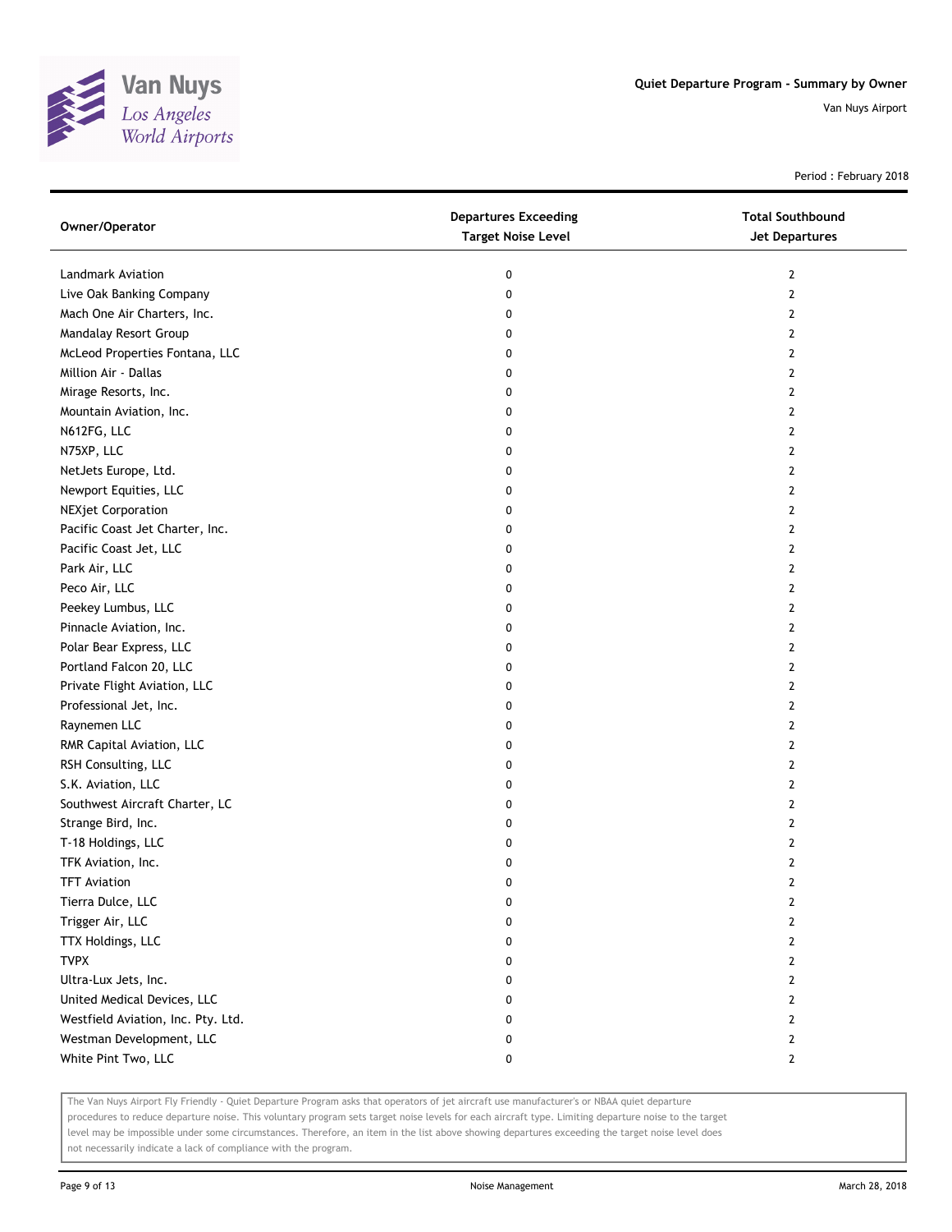

Period : February 2018

| Owner/Operator                     | <b>Departures Exceeding</b><br><b>Target Noise Level</b> | <b>Total Southbound</b><br>Jet Departures |
|------------------------------------|----------------------------------------------------------|-------------------------------------------|
| Landmark Aviation                  | 0                                                        | $\mathbf{2}$                              |
| Live Oak Banking Company           | 0                                                        | $\overline{2}$                            |
| Mach One Air Charters, Inc.        | 0                                                        | 2                                         |
| Mandalay Resort Group              | 0                                                        | 2                                         |
| McLeod Properties Fontana, LLC     | 0                                                        | $\mathbf{2}$                              |
| Million Air - Dallas               | 0                                                        | 2                                         |
| Mirage Resorts, Inc.               | 0                                                        | 2                                         |
| Mountain Aviation, Inc.            | 0                                                        | 2                                         |
| N612FG, LLC                        | 0                                                        | 2                                         |
| N75XP, LLC                         | 0                                                        | $\overline{2}$                            |
| NetJets Europe, Ltd.               | 0                                                        | $\overline{2}$                            |
| Newport Equities, LLC              | 0                                                        | $\overline{2}$                            |
| <b>NEXjet Corporation</b>          | 0                                                        | 2                                         |
| Pacific Coast Jet Charter, Inc.    | 0                                                        | 2                                         |
| Pacific Coast Jet, LLC             | 0                                                        | $\overline{2}$                            |
| Park Air, LLC                      | 0                                                        | $\overline{2}$                            |
| Peco Air, LLC                      | 0                                                        | $\overline{2}$                            |
| Peekey Lumbus, LLC                 | 0                                                        | 2                                         |
| Pinnacle Aviation, Inc.            | 0                                                        | 2                                         |
| Polar Bear Express, LLC            | 0                                                        | $\overline{2}$                            |
| Portland Falcon 20, LLC            | 0                                                        | $\overline{2}$                            |
| Private Flight Aviation, LLC       | 0                                                        | $\mathbf{2}$                              |
| Professional Jet, Inc.             | 0                                                        | 2                                         |
| Raynemen LLC                       | 0                                                        | 2                                         |
| RMR Capital Aviation, LLC          | 0                                                        | $\overline{2}$                            |
| RSH Consulting, LLC                | 0                                                        | $\overline{2}$                            |
| S.K. Aviation, LLC                 | 0                                                        | $\overline{2}$                            |
| Southwest Aircraft Charter, LC     | 0                                                        | 2                                         |
| Strange Bird, Inc.                 | 0                                                        | 2                                         |
| T-18 Holdings, LLC                 | 0                                                        | 2                                         |
| TFK Aviation, Inc.                 | 0                                                        | 2                                         |
| <b>TFT Aviation</b>                | 0                                                        | $\mathbf{2}$                              |
| Tierra Dulce, LLC                  | 0                                                        | 2                                         |
| Trigger Air, LLC                   | 0                                                        | 2                                         |
| TTX Holdings, LLC                  | 0                                                        | $\overline{2}$                            |
| <b>TVPX</b>                        | 0                                                        | $\mathbf{2}$                              |
| Ultra-Lux Jets, Inc.               | 0                                                        | $\overline{2}$                            |
| United Medical Devices, LLC        | 0                                                        | 2                                         |
| Westfield Aviation, Inc. Pty. Ltd. | 0                                                        | 2                                         |
| Westman Development, LLC           | 0                                                        | $\mathbf{2}$                              |
| White Pint Two, LLC                | 0                                                        | $\mathbf{2}$                              |

The Van Nuys Airport Fly Friendly - Quiet Departure Program asks that operators of jet aircraft use manufacturer's or NBAA quiet departure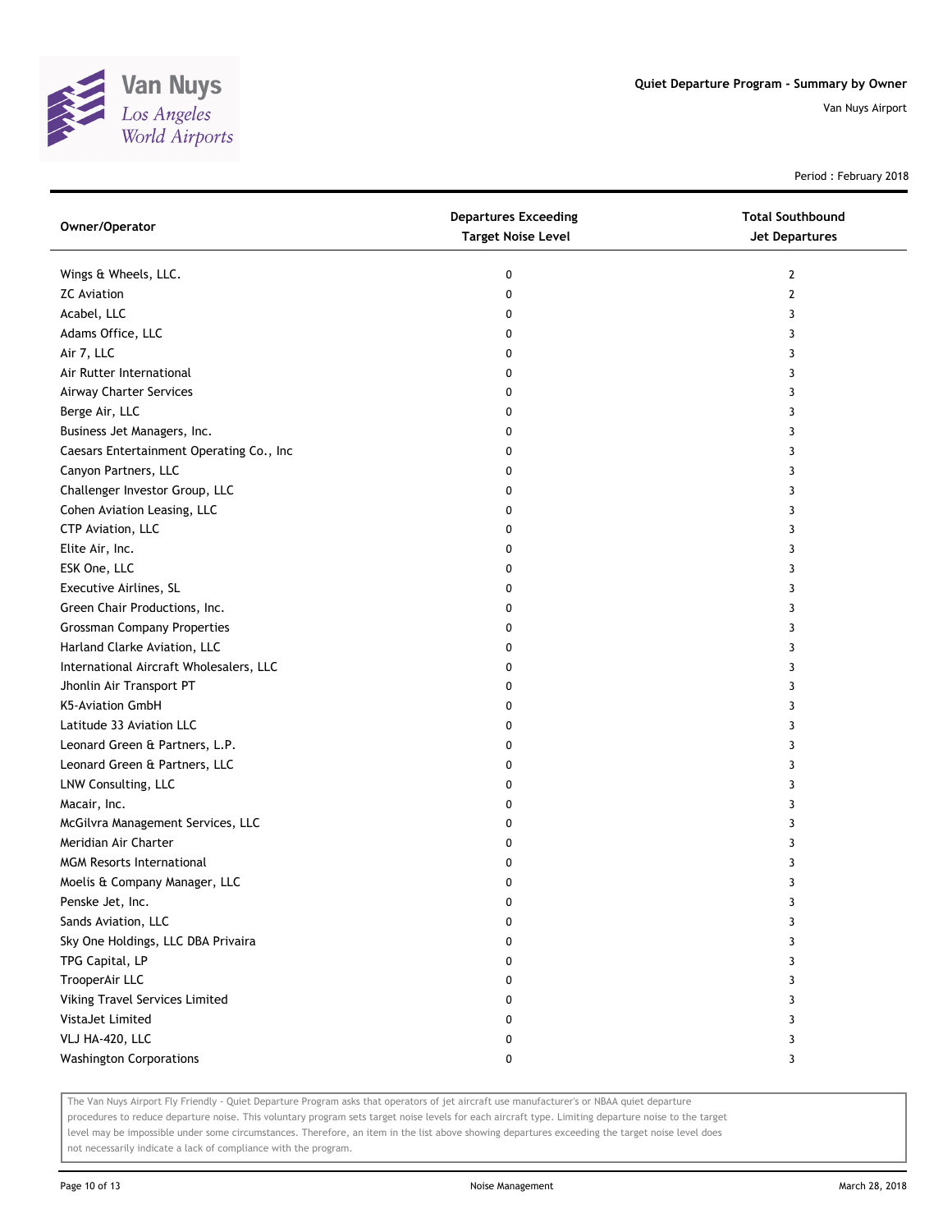

Period : February 2018

| Owner/Operator                           | <b>Departures Exceeding</b><br><b>Target Noise Level</b> | <b>Total Southbound</b><br><b>Jet Departures</b> |
|------------------------------------------|----------------------------------------------------------|--------------------------------------------------|
| Wings & Wheels, LLC.                     | 0                                                        | 2                                                |
| <b>ZC</b> Aviation                       | 0                                                        | 2                                                |
| Acabel, LLC                              | 0                                                        | 3                                                |
| Adams Office, LLC                        | 0                                                        | 3                                                |
| Air 7, LLC                               | 0                                                        | 3                                                |
| Air Rutter International                 | 0                                                        | 3                                                |
| Airway Charter Services                  | 0                                                        | 3                                                |
| Berge Air, LLC                           | 0                                                        | 3                                                |
| Business Jet Managers, Inc.              | 0                                                        | 3                                                |
| Caesars Entertainment Operating Co., Inc | 0                                                        | 3                                                |
| Canyon Partners, LLC                     | 0                                                        | 3                                                |
| Challenger Investor Group, LLC           | 0                                                        | 3                                                |
| Cohen Aviation Leasing, LLC              | 0                                                        | 3                                                |
| CTP Aviation, LLC                        | 0                                                        | 3                                                |
| Elite Air, Inc.                          | 0                                                        | 3                                                |
| ESK One, LLC                             | 0                                                        | 3                                                |
| Executive Airlines, SL                   | 0                                                        | 3                                                |
| Green Chair Productions, Inc.            | 0                                                        | 3                                                |
| <b>Grossman Company Properties</b>       | 0                                                        | 3                                                |
| Harland Clarke Aviation, LLC             | 0                                                        | 3                                                |
| International Aircraft Wholesalers, LLC  | 0                                                        | 3                                                |
| Jhonlin Air Transport PT                 | 0                                                        | 3                                                |
| K5-Aviation GmbH                         | 0                                                        | 3                                                |
| Latitude 33 Aviation LLC                 | 0                                                        | 3                                                |
| Leonard Green & Partners, L.P.           | 0                                                        | 3                                                |
| Leonard Green & Partners, LLC            | 0                                                        | 3                                                |
| LNW Consulting, LLC                      | 0                                                        | 3                                                |
| Macair, Inc.                             | 0                                                        | 3                                                |
| McGilvra Management Services, LLC        | 0                                                        | 3                                                |
| Meridian Air Charter                     | 0                                                        | 3                                                |
| <b>MGM Resorts International</b>         | 0                                                        | 3                                                |
| Moelis & Company Manager, LLC            | 0                                                        | 3                                                |
| Penske Jet, Inc.                         | 0                                                        | 3                                                |
| Sands Aviation, LLC                      | 0                                                        | 3                                                |
| Sky One Holdings, LLC DBA Privaira       | 0                                                        | 3                                                |
| TPG Capital, LP                          | 0                                                        | 3                                                |
| TrooperAir LLC                           | 0                                                        | 3                                                |
| Viking Travel Services Limited           | 0                                                        | 3                                                |
| VistaJet Limited                         | 0                                                        | 3                                                |
| VLJ HA-420, LLC                          | 0                                                        | 3                                                |
| <b>Washington Corporations</b>           | 0                                                        | 3                                                |

The Van Nuys Airport Fly Friendly - Quiet Departure Program asks that operators of jet aircraft use manufacturer's or NBAA quiet departure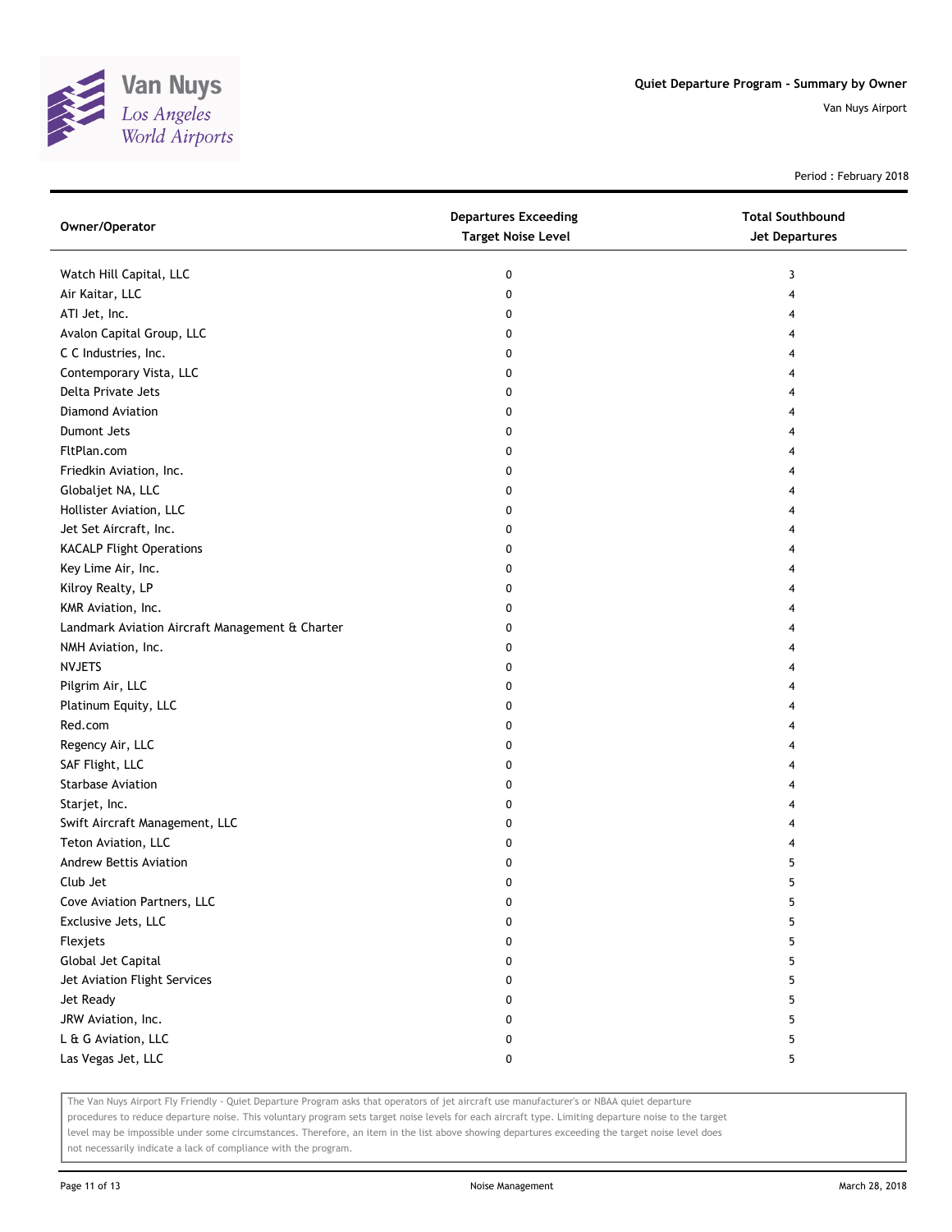

Period : February 2018

| Owner/Operator                                  | <b>Departures Exceeding</b><br><b>Target Noise Level</b> | <b>Total Southbound</b><br><b>Jet Departures</b> |
|-------------------------------------------------|----------------------------------------------------------|--------------------------------------------------|
| Watch Hill Capital, LLC                         | 0                                                        | 3                                                |
| Air Kaitar, LLC                                 | 0                                                        | 4                                                |
| ATI Jet, Inc.                                   | 0                                                        | 4                                                |
| Avalon Capital Group, LLC                       | 0                                                        | 4                                                |
| C C Industries, Inc.                            | 0                                                        | 4                                                |
| Contemporary Vista, LLC                         | 0                                                        | 4                                                |
| Delta Private Jets                              | 0                                                        | 4                                                |
| <b>Diamond Aviation</b>                         | 0                                                        | 4                                                |
| Dumont Jets                                     | 0                                                        | 4                                                |
| FltPlan.com                                     | 0                                                        | 4                                                |
| Friedkin Aviation, Inc.                         | 0                                                        | 4                                                |
| Globaljet NA, LLC                               | 0                                                        | 4                                                |
| Hollister Aviation, LLC                         | 0                                                        | 4                                                |
| Jet Set Aircraft, Inc.                          | 0                                                        | 4                                                |
| <b>KACALP Flight Operations</b>                 | 0                                                        | 4                                                |
| Key Lime Air, Inc.                              | 0                                                        | 4                                                |
| Kilroy Realty, LP                               | 0                                                        | 4                                                |
| KMR Aviation, Inc.                              | 0                                                        | 4                                                |
| Landmark Aviation Aircraft Management & Charter | 0                                                        | 4                                                |
| NMH Aviation, Inc.                              | 0                                                        | 4                                                |
| <b>NVJETS</b>                                   | 0                                                        | 4                                                |
| Pilgrim Air, LLC                                | 0                                                        | 4                                                |
| Platinum Equity, LLC                            | 0                                                        | 4                                                |
| Red.com                                         | 0                                                        | 4                                                |
| Regency Air, LLC                                | 0                                                        | 4                                                |
| SAF Flight, LLC                                 | 0                                                        | 4                                                |
| <b>Starbase Aviation</b>                        | 0                                                        | 4                                                |
| Starjet, Inc.                                   | 0                                                        | 4                                                |
| Swift Aircraft Management, LLC                  | 0                                                        | 4                                                |
| Teton Aviation, LLC                             | 0                                                        | 4                                                |
| Andrew Bettis Aviation                          | 0                                                        | 5                                                |
| Club Jet                                        | 0                                                        | 5                                                |
| Cove Aviation Partners, LLC                     | 0                                                        | 5                                                |
| Exclusive Jets, LLC                             | 0                                                        | 5                                                |
| Flexjets                                        | 0                                                        | 5                                                |
| Global Jet Capital                              | 0                                                        | 5                                                |
| Jet Aviation Flight Services                    | 0                                                        | 5                                                |
| Jet Ready                                       | 0                                                        | 5                                                |
| JRW Aviation, Inc.                              | 0                                                        | 5                                                |
| L & G Aviation, LLC                             | 0                                                        | 5                                                |
| Las Vegas Jet, LLC                              | 0                                                        | 5                                                |

The Van Nuys Airport Fly Friendly - Quiet Departure Program asks that operators of jet aircraft use manufacturer's or NBAA quiet departure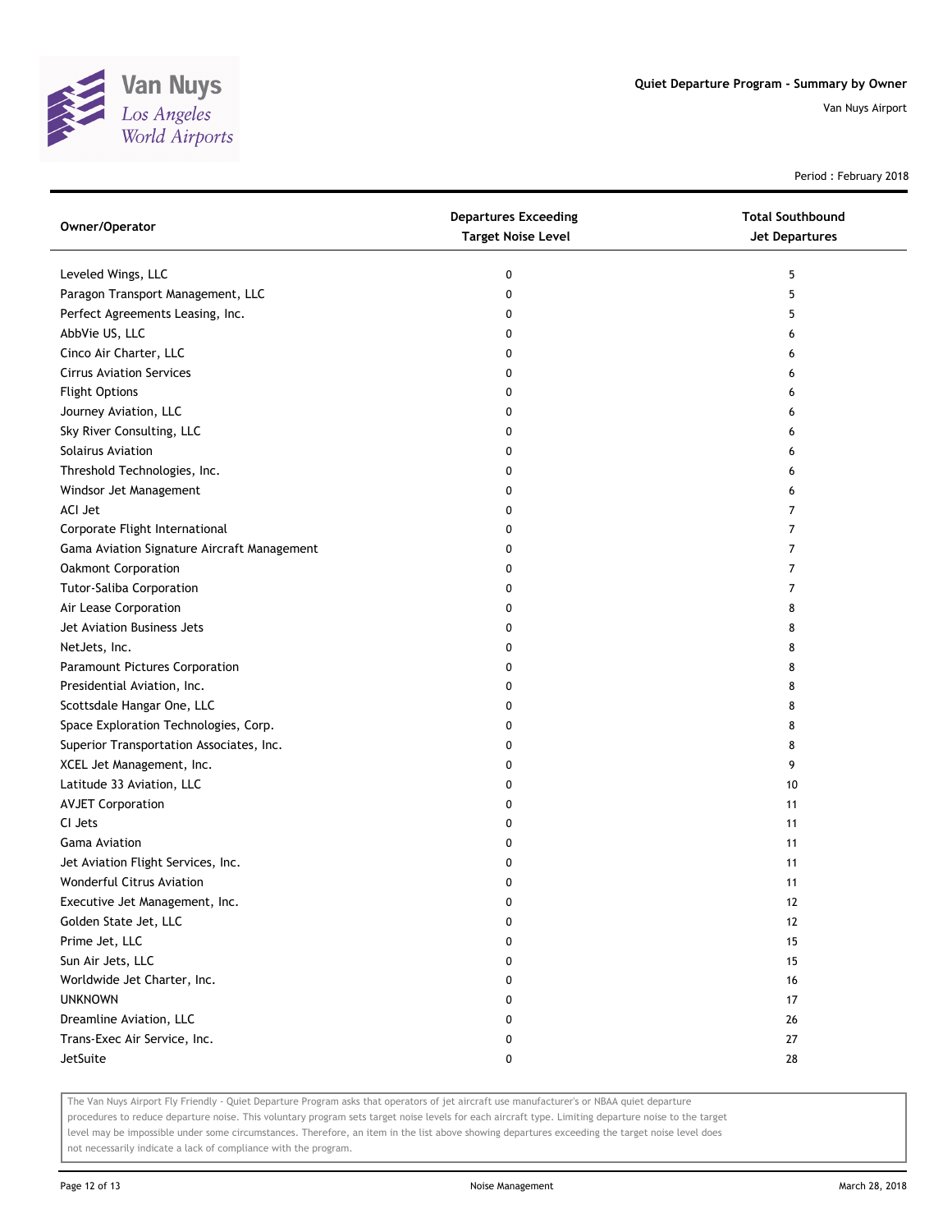

Period : February 2018

| Owner/Operator                              | <b>Departures Exceeding</b><br><b>Target Noise Level</b> | <b>Total Southbound</b><br>Jet Departures |
|---------------------------------------------|----------------------------------------------------------|-------------------------------------------|
| Leveled Wings, LLC                          | 0                                                        | 5                                         |
| Paragon Transport Management, LLC           | 0                                                        | 5                                         |
| Perfect Agreements Leasing, Inc.            | 0                                                        | 5                                         |
| AbbVie US, LLC                              | 0                                                        | 6                                         |
| Cinco Air Charter, LLC                      | 0                                                        | 6                                         |
| <b>Cirrus Aviation Services</b>             | 0                                                        | 6                                         |
| <b>Flight Options</b>                       | 0                                                        | 6                                         |
| Journey Aviation, LLC                       | 0                                                        | 6                                         |
| Sky River Consulting, LLC                   | 0                                                        | 6                                         |
| Solairus Aviation                           | 0                                                        | 6                                         |
| Threshold Technologies, Inc.                | 0                                                        | 6                                         |
| Windsor Jet Management                      | 0                                                        | 6                                         |
| ACI Jet                                     | 0                                                        | 7                                         |
| Corporate Flight International              | 0                                                        | $\overline{7}$                            |
| Gama Aviation Signature Aircraft Management | 0                                                        | 7                                         |
| <b>Oakmont Corporation</b>                  | 0                                                        | 7                                         |
| <b>Tutor-Saliba Corporation</b>             | 0                                                        | 7                                         |
| Air Lease Corporation                       | 0                                                        | 8                                         |
| Jet Aviation Business Jets                  | 0                                                        | 8                                         |
| NetJets, Inc.                               | 0                                                        | 8                                         |
| Paramount Pictures Corporation              | 0                                                        | 8                                         |
| Presidential Aviation, Inc.                 | 0                                                        | 8                                         |
| Scottsdale Hangar One, LLC                  | 0                                                        | 8                                         |
| Space Exploration Technologies, Corp.       | 0                                                        | 8                                         |
| Superior Transportation Associates, Inc.    | 0                                                        | 8                                         |
| XCEL Jet Management, Inc.                   | 0                                                        | 9                                         |
| Latitude 33 Aviation, LLC                   | 0                                                        | 10                                        |
| <b>AVJET Corporation</b>                    | 0                                                        | 11                                        |
| CI Jets                                     | 0                                                        | 11                                        |
| <b>Gama Aviation</b>                        | 0                                                        | 11                                        |
| Jet Aviation Flight Services, Inc.          | 0                                                        | 11                                        |
| Wonderful Citrus Aviation                   | 0                                                        | 11                                        |
| Executive Jet Management, Inc.              | o                                                        | 12                                        |
| Golden State Jet, LLC                       | 0                                                        | 12                                        |
| Prime Jet, LLC                              | 0                                                        | 15                                        |
| Sun Air Jets, LLC                           | 0                                                        | 15                                        |
| Worldwide Jet Charter, Inc.                 | 0                                                        | 16                                        |
| <b>UNKNOWN</b>                              | 0                                                        | 17                                        |
| Dreamline Aviation, LLC                     | 0                                                        | 26                                        |
| Trans-Exec Air Service, Inc.                | 0                                                        | 27                                        |
| JetSuite                                    | 0                                                        | 28                                        |

The Van Nuys Airport Fly Friendly - Quiet Departure Program asks that operators of jet aircraft use manufacturer's or NBAA quiet departure